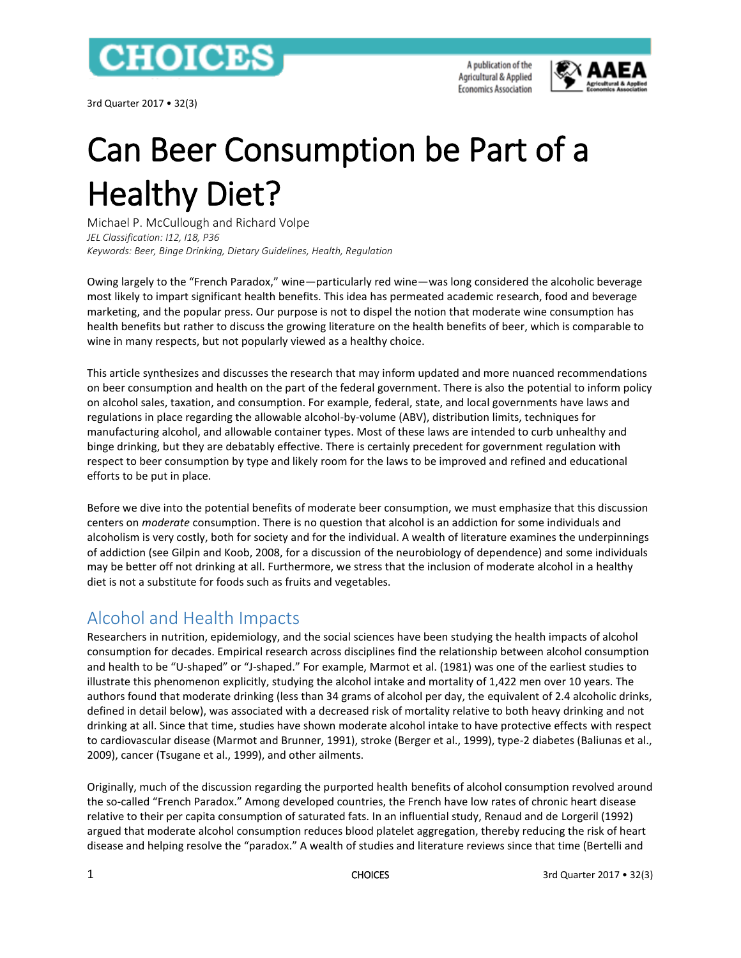

3rd Quarter 2017 • 32(3)

A publication of the Agricultural & Applied **Economics Association** 



# Can Beer Consumption be Part of a Healthy Diet?

Michael P. McCullough and Richard Volpe *JEL Classification: I12, I18, P36 Keywords: Beer, Binge Drinking, Dietary Guidelines, Health, Regulation*

Owing largely to the "French Paradox," wine—particularly red wine—was long considered the alcoholic beverage most likely to impart significant health benefits. This idea has permeated academic research, food and beverage marketing, and the popular press. Our purpose is not to dispel the notion that moderate wine consumption has health benefits but rather to discuss the growing literature on the health benefits of beer, which is comparable to wine in many respects, but not popularly viewed as a healthy choice.

This article synthesizes and discusses the research that may inform updated and more nuanced recommendations on beer consumption and health on the part of the federal government. There is also the potential to inform policy on alcohol sales, taxation, and consumption. For example, federal, state, and local governments have laws and regulations in place regarding the allowable alcohol-by-volume (ABV), distribution limits, techniques for manufacturing alcohol, and allowable container types. Most of these laws are intended to curb unhealthy and binge drinking, but they are debatably effective. There is certainly precedent for government regulation with respect to beer consumption by type and likely room for the laws to be improved and refined and educational efforts to be put in place.

Before we dive into the potential benefits of moderate beer consumption, we must emphasize that this discussion centers on *moderate* consumption. There is no question that alcohol is an addiction for some individuals and alcoholism is very costly, both for society and for the individual. A wealth of literature examines the underpinnings of addiction (see Gilpin and Koob, 2008, for a discussion of the neurobiology of dependence) and some individuals may be better off not drinking at all. Furthermore, we stress that the inclusion of moderate alcohol in a healthy diet is not a substitute for foods such as fruits and vegetables.

# Alcohol and Health Impacts

Researchers in nutrition, epidemiology, and the social sciences have been studying the health impacts of alcohol consumption for decades. Empirical research across disciplines find the relationship between alcohol consumption and health to be "U-shaped" or "J-shaped." For example, Marmot et al. (1981) was one of the earliest studies to illustrate this phenomenon explicitly, studying the alcohol intake and mortality of 1,422 men over 10 years. The authors found that moderate drinking (less than 34 grams of alcohol per day, the equivalent of 2.4 alcoholic drinks, defined in detail below), was associated with a decreased risk of mortality relative to both heavy drinking and not drinking at all. Since that time, studies have shown moderate alcohol intake to have protective effects with respect to cardiovascular disease (Marmot and Brunner, 1991), stroke (Berger et al., 1999), type-2 diabetes (Baliunas et al., 2009), cancer (Tsugane et al., 1999), and other ailments.

Originally, much of the discussion regarding the purported health benefits of alcohol consumption revolved around the so-called "French Paradox." Among developed countries, the French have low rates of chronic heart disease relative to their per capita consumption of saturated fats. In an influential study, Renaud and de Lorgeril (1992) argued that moderate alcohol consumption reduces blood platelet aggregation, thereby reducing the risk of heart disease and helping resolve the "paradox." A wealth of studies and literature reviews since that time (Bertelli and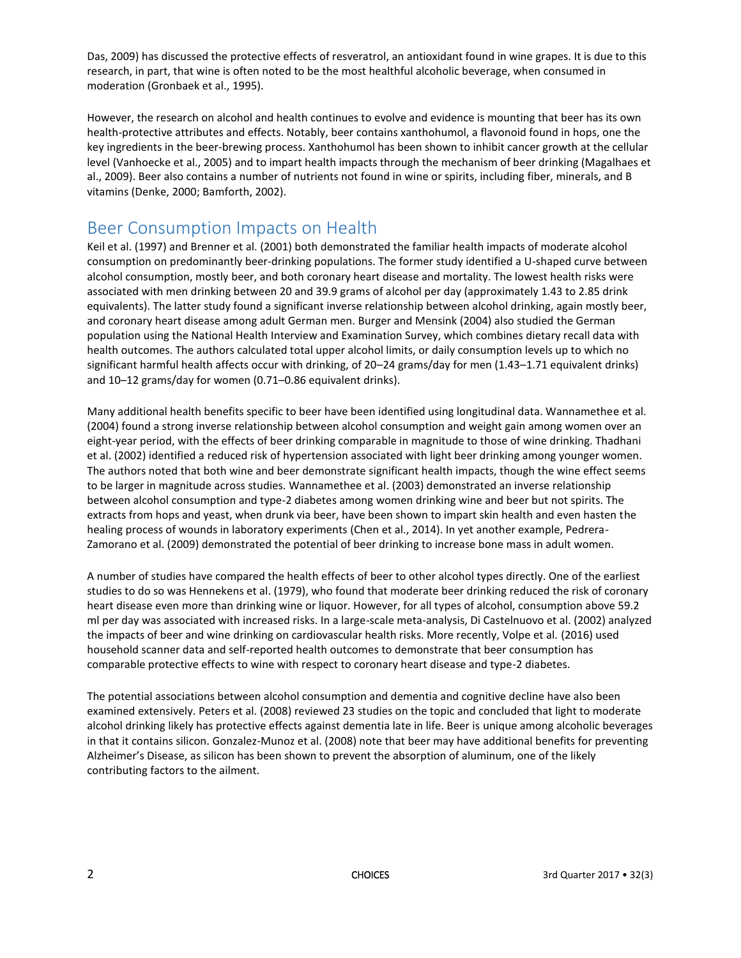Das, 2009) has discussed the protective effects of resveratrol, an antioxidant found in wine grapes. It is due to this research, in part, that wine is often noted to be the most healthful alcoholic beverage, when consumed in moderation (Gronbaek et al., 1995).

However, the research on alcohol and health continues to evolve and evidence is mounting that beer has its own health-protective attributes and effects. Notably, beer contains xanthohumol, a flavonoid found in hops, one the key ingredients in the beer-brewing process. Xanthohumol has been shown to inhibit cancer growth at the cellular level (Vanhoecke et al., 2005) and to impart health impacts through the mechanism of beer drinking (Magalhaes et al., 2009). Beer also contains a number of nutrients not found in wine or spirits, including fiber, minerals, and B vitamins (Denke, 2000; Bamforth, 2002).

## Beer Consumption Impacts on Health

Keil et al. (1997) and Brenner et al. (2001) both demonstrated the familiar health impacts of moderate alcohol consumption on predominantly beer-drinking populations. The former study identified a U-shaped curve between alcohol consumption, mostly beer, and both coronary heart disease and mortality. The lowest health risks were associated with men drinking between 20 and 39.9 grams of alcohol per day (approximately 1.43 to 2.85 drink equivalents). The latter study found a significant inverse relationship between alcohol drinking, again mostly beer, and coronary heart disease among adult German men. Burger and Mensink (2004) also studied the German population using the National Health Interview and Examination Survey, which combines dietary recall data with health outcomes. The authors calculated total upper alcohol limits, or daily consumption levels up to which no significant harmful health affects occur with drinking, of 20–24 grams/day for men (1.43–1.71 equivalent drinks) and 10–12 grams/day for women (0.71–0.86 equivalent drinks).

Many additional health benefits specific to beer have been identified using longitudinal data. Wannamethee et al. (2004) found a strong inverse relationship between alcohol consumption and weight gain among women over an eight-year period, with the effects of beer drinking comparable in magnitude to those of wine drinking. Thadhani et al. (2002) identified a reduced risk of hypertension associated with light beer drinking among younger women. The authors noted that both wine and beer demonstrate significant health impacts, though the wine effect seems to be larger in magnitude across studies. Wannamethee et al. (2003) demonstrated an inverse relationship between alcohol consumption and type-2 diabetes among women drinking wine and beer but not spirits. The extracts from hops and yeast, when drunk via beer, have been shown to impart skin health and even hasten the healing process of wounds in laboratory experiments (Chen et al., 2014). In yet another example, Pedrera-Zamorano et al. (2009) demonstrated the potential of beer drinking to increase bone mass in adult women.

A number of studies have compared the health effects of beer to other alcohol types directly. One of the earliest studies to do so was Hennekens et al. (1979), who found that moderate beer drinking reduced the risk of coronary heart disease even more than drinking wine or liquor. However, for all types of alcohol, consumption above 59.2 ml per day was associated with increased risks. In a large-scale meta-analysis, Di Castelnuovo et al. (2002) analyzed the impacts of beer and wine drinking on cardiovascular health risks. More recently, Volpe et al. (2016) used household scanner data and self-reported health outcomes to demonstrate that beer consumption has comparable protective effects to wine with respect to coronary heart disease and type-2 diabetes.

The potential associations between alcohol consumption and dementia and cognitive decline have also been examined extensively. Peters et al. (2008) reviewed 23 studies on the topic and concluded that light to moderate alcohol drinking likely has protective effects against dementia late in life. Beer is unique among alcoholic beverages in that it contains silicon. Gonzalez-Munoz et al. (2008) note that beer may have additional benefits for preventing Alzheimer's Disease, as silicon has been shown to prevent the absorption of aluminum, one of the likely contributing factors to the ailment.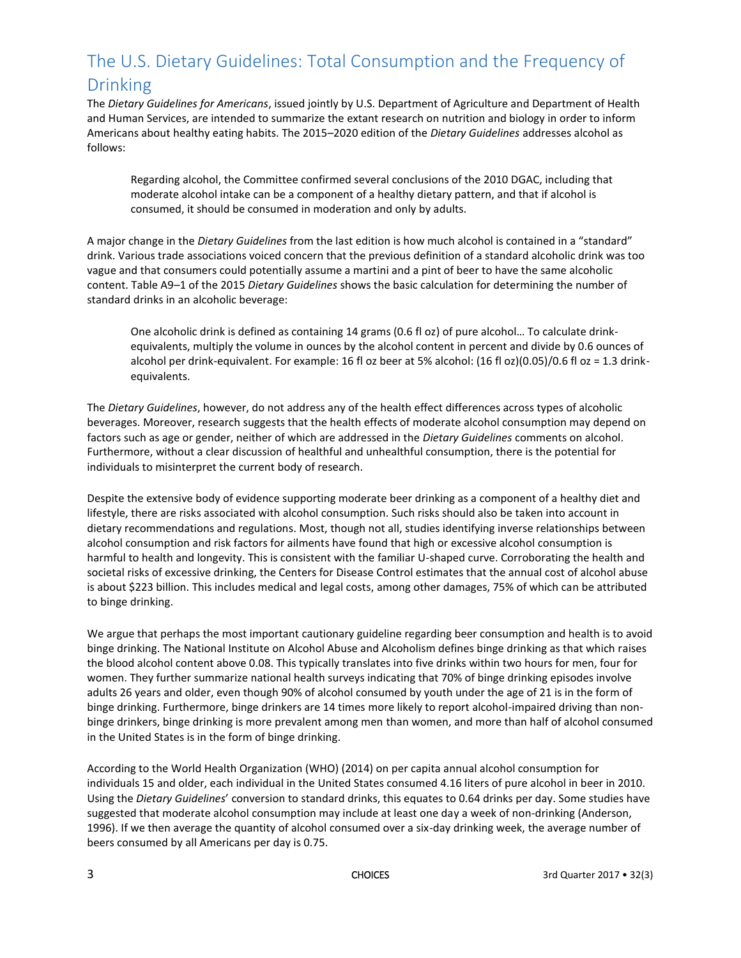# The U.S. Dietary Guidelines: Total Consumption and the Frequency of Drinking

The *Dietary Guidelines for Americans*, issued jointly by U.S. Department of Agriculture and Department of Health and Human Services, are intended to summarize the extant research on nutrition and biology in order to inform Americans about healthy eating habits. The 2015–2020 edition of the *Dietary Guidelines* addresses alcohol as follows:

Regarding alcohol, the Committee confirmed several conclusions of the 2010 DGAC, including that moderate alcohol intake can be a component of a healthy dietary pattern, and that if alcohol is consumed, it should be consumed in moderation and only by adults.

A major change in the *Dietary Guidelines* from the last edition is how much alcohol is contained in a "standard" drink. Various trade associations voiced concern that the previous definition of a standard alcoholic drink was too vague and that consumers could potentially assume a martini and a pint of beer to have the same alcoholic content. Table A9–1 of the 2015 *Dietary Guidelines* shows the basic calculation for determining the number of standard drinks in an alcoholic beverage:

One alcoholic drink is defined as containing 14 grams (0.6 fl oz) of pure alcohol… To calculate drinkequivalents, multiply the volume in ounces by the alcohol content in percent and divide by 0.6 ounces of alcohol per drink-equivalent. For example: 16 fl oz beer at 5% alcohol: (16 fl oz)(0.05)/0.6 fl oz = 1.3 drinkequivalents.

The *Dietary Guidelines*, however, do not address any of the health effect differences across types of alcoholic beverages. Moreover, research suggests that the health effects of moderate alcohol consumption may depend on factors such as age or gender, neither of which are addressed in the *Dietary Guidelines* comments on alcohol. Furthermore, without a clear discussion of healthful and unhealthful consumption, there is the potential for individuals to misinterpret the current body of research.

Despite the extensive body of evidence supporting moderate beer drinking as a component of a healthy diet and lifestyle, there are risks associated with alcohol consumption. Such risks should also be taken into account in dietary recommendations and regulations. Most, though not all, studies identifying inverse relationships between alcohol consumption and risk factors for ailments have found that high or excessive alcohol consumption is harmful to health and longevity. This is consistent with the familiar U-shaped curve. Corroborating the health and societal risks of excessive drinking, the Centers for Disease Control estimates that the annual cost of alcohol abuse is about \$223 billion. This includes medical and legal costs, among other damages, 75% of which can be attributed to binge drinking.

We argue that perhaps the most important cautionary guideline regarding beer consumption and health is to avoid binge drinking. The National Institute on Alcohol Abuse and Alcoholism defines binge drinking as that which raises the blood alcohol content above 0.08. This typically translates into five drinks within two hours for men, four for women. They further summarize national health surveys indicating that 70% of binge drinking episodes involve adults 26 years and older, even though 90% of alcohol consumed by youth under the age of 21 is in the form of binge drinking. Furthermore, binge drinkers are 14 times more likely to report alcohol-impaired driving than nonbinge drinkers, binge drinking is more prevalent among men than women, and more than half of alcohol consumed in the United States is in the form of binge drinking.

According to the World Health Organization (WHO) (2014) on per capita annual alcohol consumption for individuals 15 and older, each individual in the United States consumed 4.16 liters of pure alcohol in beer in 2010. Using the *Dietary Guidelines*' conversion to standard drinks, this equates to 0.64 drinks per day. Some studies have suggested that moderate alcohol consumption may include at least one day a week of non-drinking (Anderson, 1996). If we then average the quantity of alcohol consumed over a six-day drinking week, the average number of beers consumed by all Americans per day is 0.75.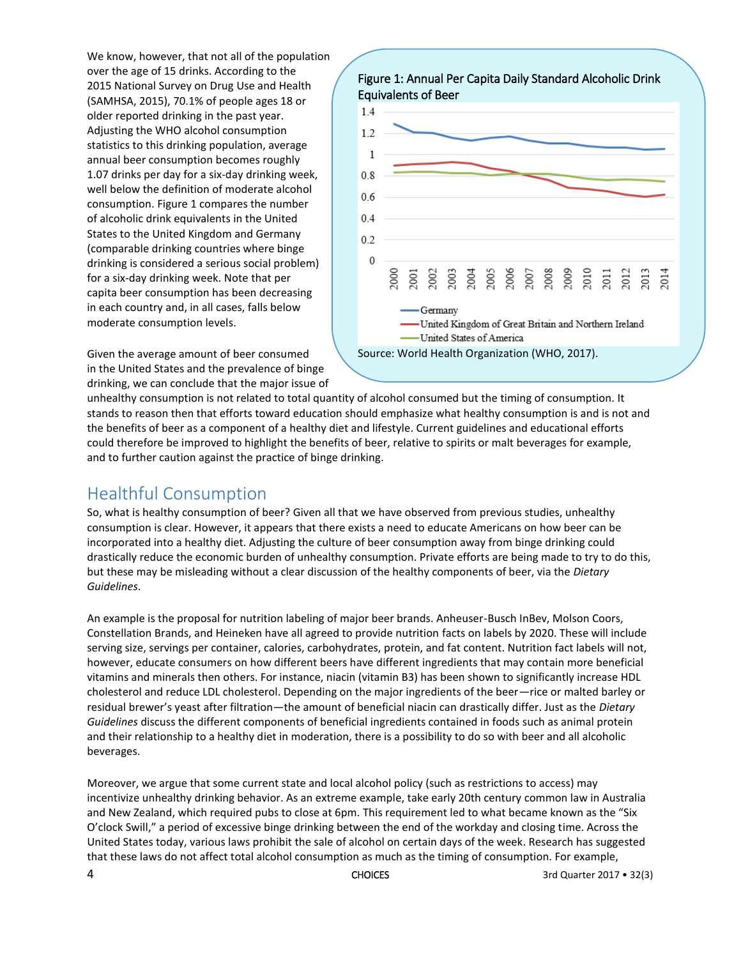We know, however, that not all of the population over the age of 15 drinks. According to the 2015 National Survey on Drug Use and Health (SAMHSA, 2015), 70.1% of people ages 18 or older reported drinking in the past year. Adjusting the WHO alcohol consumption statistics to this drinking population, average annual beer consumption becomes roughly 1.07 drinks per day for a six-day drinking week, well below the definition of moderate alcohol consumption. Figure 1 compares the number of alcoholic drink equivalents in the United States to the United Kingdom and Germany (comparable drinking countries where binge drinking is considered a serious social problem) for a six-day drinking week. Note that per capita beer consumption has been decreasing in each country and, in all cases, falls below moderate consumption levels.



Given the average amount of beer consumed in the United States and the prevalence of binge drinking, we can conclude that the major issue of

unhealthy consumption is not related to total quantity of alcohol consumed but the timing of consumption. It stands to reason then that efforts toward education should emphasize what healthy consumption is and is not and the benefits of beer as a component of a healthy diet and lifestyle. Current guidelines and educational efforts could therefore be improved to highlight the benefits of beer, relative to spirits or malt beverages for example, and to further caution against the practice of binge drinking.

# Healthful Consumption

So, what is healthy consumption of beer? Given all that we have observed from previous studies, unhealthy consumption is clear. However, it appears that there exists a need to educate Americans on how beer can be incorporated into a healthy diet. Adjusting the culture of beer consumption away from binge drinking could drastically reduce the economic burden of unhealthy consumption. Private efforts are being made to try to do this, but these may be misleading without a clear discussion of the healthy components of beer, via the *Dietary Guidelines*.

An example is the proposal for nutrition labeling of major beer brands. Anheuser-Busch InBev, Molson Coors, Constellation Brands, and Heineken have all agreed to provide nutrition facts on labels by 2020. These will include serving size, servings per container, calories, carbohydrates, protein, and fat content. Nutrition fact labels will not, however, educate consumers on how different beers have different ingredients that may contain more beneficial vitamins and minerals then others. For instance, niacin (vitamin B3) has been shown to significantly increase HDL cholesterol and reduce LDL cholesterol. Depending on the major ingredients of the beer—rice or malted barley or residual brewer's yeast after filtration—the amount of beneficial niacin can drastically differ. Just as the *Dietary Guidelines* discuss the different components of beneficial ingredients contained in foods such as animal protein and their relationship to a healthy diet in moderation, there is a possibility to do so with beer and all alcoholic beverages.

Moreover, we argue that some current state and local alcohol policy (such as restrictions to access) may incentivize unhealthy drinking behavior. As an extreme example, take early 20th century common law in Australia and New Zealand, which required pubs to close at 6pm. This requirement led to what became known as the "Six O'clock Swill," a period of excessive binge drinking between the end of the workday and closing time. Across the United States today, various laws prohibit the sale of alcohol on certain days of the week. Research has suggested that these laws do not affect total alcohol consumption as much as the timing of consumption. For example,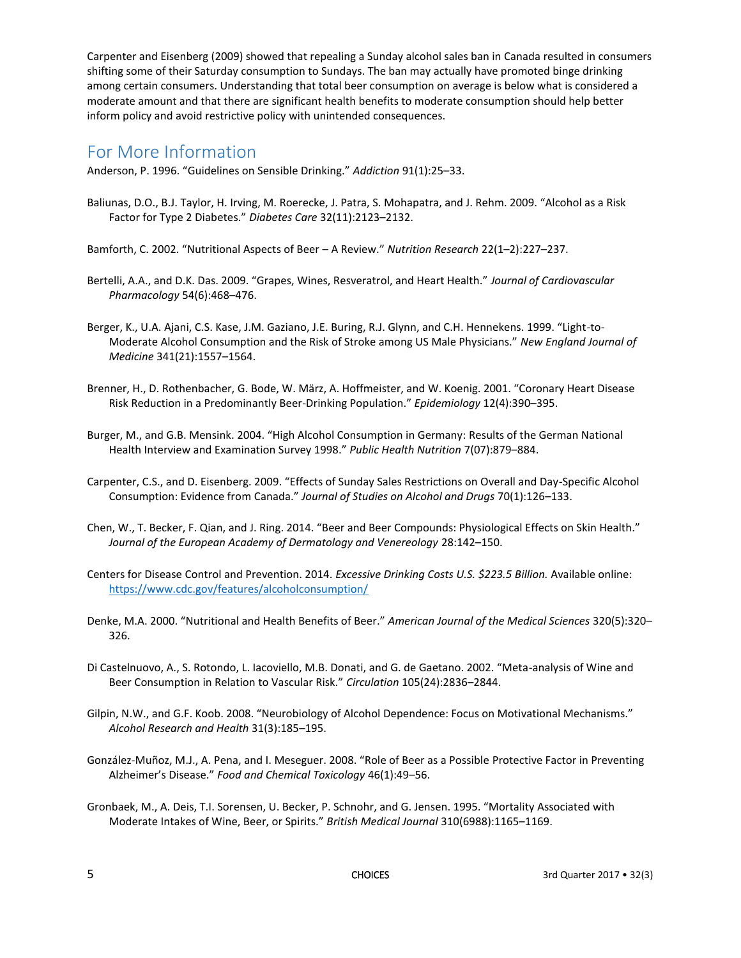Carpenter and Eisenberg (2009) showed that repealing a Sunday alcohol sales ban in Canada resulted in consumers shifting some of their Saturday consumption to Sundays. The ban may actually have promoted binge drinking among certain consumers. Understanding that total beer consumption on average is below what is considered a moderate amount and that there are significant health benefits to moderate consumption should help better inform policy and avoid restrictive policy with unintended consequences.

### For More Information

Anderson, P. 1996. "Guidelines on Sensible Drinking." *Addiction* 91(1):25–33.

- Baliunas, D.O., B.J. Taylor, H. Irving, M. Roerecke, J. Patra, S. Mohapatra, and J. Rehm. 2009. "Alcohol as a Risk Factor for Type 2 Diabetes." *Diabetes Care* 32(11):2123–2132.
- Bamforth, C. 2002. "Nutritional Aspects of Beer A Review." *Nutrition Research* 22(1–2):227–237.
- Bertelli, A.A., and D.K. Das. 2009. "Grapes, Wines, Resveratrol, and Heart Health." *Journal of Cardiovascular Pharmacology* 54(6):468–476.
- Berger, K., U.A. Ajani, C.S. Kase, J.M. Gaziano, J.E. Buring, R.J. Glynn, and C.H. Hennekens. 1999. "Light-to-Moderate Alcohol Consumption and the Risk of Stroke among US Male Physicians." *New England Journal of Medicine* 341(21):1557–1564.
- Brenner, H., D. Rothenbacher, G. Bode, W. März, A. Hoffmeister, and W. Koenig. 2001. "Coronary Heart Disease Risk Reduction in a Predominantly Beer-Drinking Population." *Epidemiology* 12(4):390–395.
- Burger, M., and G.B. Mensink. 2004. "High Alcohol Consumption in Germany: Results of the German National Health Interview and Examination Survey 1998." *Public Health Nutrition* 7(07):879–884.
- Carpenter, C.S., and D. Eisenberg. 2009. "Effects of Sunday Sales Restrictions on Overall and Day-Specific Alcohol Consumption: Evidence from Canada." *Journal of Studies on Alcohol and Drugs* 70(1):126–133.
- Chen, W., T. Becker, F. Qian, and J. Ring. 2014. "Beer and Beer Compounds: Physiological Effects on Skin Health." *Journal of the European Academy of Dermatology and Venereology* 28:142–150.
- Centers for Disease Control and Prevention. 2014. *Excessive Drinking Costs U.S. \$223.5 Billion.* Available online: <https://www.cdc.gov/features/alcoholconsumption/>
- Denke, M.A. 2000. "Nutritional and Health Benefits of Beer." *American Journal of the Medical Sciences* 320(5):320– 326.
- Di Castelnuovo, A., S. Rotondo, L. Iacoviello, M.B. Donati, and G. de Gaetano. 2002. "Meta-analysis of Wine and Beer Consumption in Relation to Vascular Risk." *Circulation* 105(24):2836–2844.
- Gilpin, N.W., and G.F. Koob. 2008. "Neurobiology of Alcohol Dependence: Focus on Motivational Mechanisms." *Alcohol Research and Health* 31(3):185–195.
- González-Muñoz, M.J., A. Pena, and I. Meseguer. 2008. "Role of Beer as a Possible Protective Factor in Preventing Alzheimer's Disease." *Food and Chemical Toxicology* 46(1):49–56.
- Gronbaek, M., A. Deis, T.I. Sorensen, U. Becker, P. Schnohr, and G. Jensen. 1995. "Mortality Associated with Moderate Intakes of Wine, Beer, or Spirits." *British Medical Journal* 310(6988):1165–1169.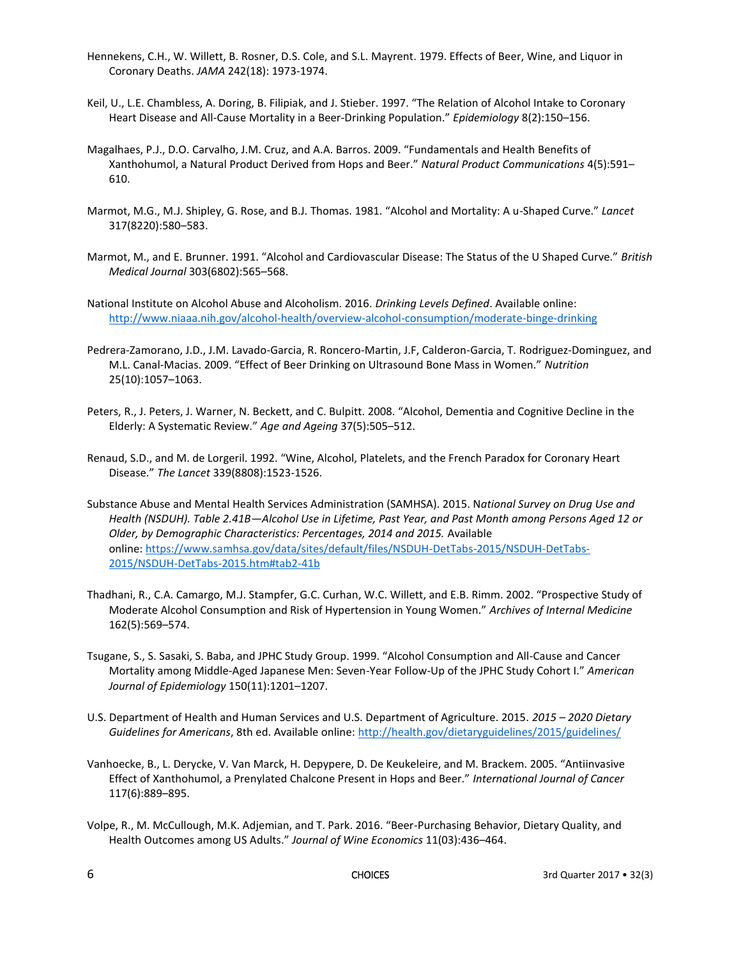- Hennekens, C.H., W. Willett, B. Rosner, D.S. Cole, and S.L. Mayrent. 1979. Effects of Beer, Wine, and Liquor in Coronary Deaths. *JAMA* 242(18): 1973-1974.
- Keil, U., L.E. Chambless, A. Doring, B. Filipiak, and J. Stieber. 1997. "The Relation of Alcohol Intake to Coronary Heart Disease and All-Cause Mortality in a Beer-Drinking Population." *Epidemiology* 8(2):150–156.
- Magalhaes, P.J., D.O. Carvalho, J.M. Cruz, and A.A. Barros. 2009. "Fundamentals and Health Benefits of Xanthohumol, a Natural Product Derived from Hops and Beer." *Natural Product Communications* 4(5):591– 610.
- Marmot, M.G., M.J. Shipley, G. Rose, and B.J. Thomas. 1981. "Alcohol and Mortality: A u-Shaped Curve." *Lancet* 317(8220):580–583.
- Marmot, M., and E. Brunner. 1991. "Alcohol and Cardiovascular Disease: The Status of the U Shaped Curve." *British Medical Journal* 303(6802):565–568.
- National Institute on Alcohol Abuse and Alcoholism. 2016. *Drinking Levels Defined*. Available online: <http://www.niaaa.nih.gov/alcohol-health/overview-alcohol-consumption/moderate-binge-drinking>
- Pedrera-Zamorano, J.D., J.M. Lavado-Garcia, R. Roncero-Martin, J.F, Calderon-Garcia, T. Rodriguez-Dominguez, and M.L. Canal-Macias. 2009. "Effect of Beer Drinking on Ultrasound Bone Mass in Women." *Nutrition* 25(10):1057–1063.
- Peters, R., J. Peters, J. Warner, N. Beckett, and C. Bulpitt. 2008. "Alcohol, Dementia and Cognitive Decline in the Elderly: A Systematic Review." *Age and Ageing* 37(5):505–512.
- Renaud, S.D., and M. de Lorgeril. 1992. "Wine, Alcohol, Platelets, and the French Paradox for Coronary Heart Disease." *The Lancet* 339(8808):1523-1526.
- Substance Abuse and Mental Health Services Administration (SAMHSA). 2015. N*ational Survey on Drug Use and Health (NSDUH). Table 2.41B—Alcohol Use in Lifetime, Past Year, and Past Month among Persons Aged 12 or Older, by Demographic Characteristics: Percentages, 2014 and 2015.* Available online: [https://www.samhsa.gov/data/sites/default/files/NSDUH-DetTabs-2015/NSDUH-DetTabs-](https://www.samhsa.gov/data/sites/default/files/NSDUH-DetTabs-2015/NSDUH-DetTabs-2015/NSDUH-DetTabs-2015.htm#tab2-41b)[2015/NSDUH-DetTabs-2015.htm#tab2-41b](https://www.samhsa.gov/data/sites/default/files/NSDUH-DetTabs-2015/NSDUH-DetTabs-2015/NSDUH-DetTabs-2015.htm#tab2-41b)
- Thadhani, R., C.A. Camargo, M.J. Stampfer, G.C. Curhan, W.C. Willett, and E.B. Rimm. 2002. "Prospective Study of Moderate Alcohol Consumption and Risk of Hypertension in Young Women." *Archives of Internal Medicine* 162(5):569–574.
- Tsugane, S., S. Sasaki, S. Baba, and JPHC Study Group. 1999. "Alcohol Consumption and All-Cause and Cancer Mortality among Middle-Aged Japanese Men: Seven-Year Follow-Up of the JPHC Study Cohort I." *American Journal of Epidemiology* 150(11):1201–1207.
- U.S. Department of Health and Human Services and U.S. Department of Agriculture. 2015. *2015 – 2020 Dietary Guidelines for Americans*, 8th ed. Available online:<http://health.gov/dietaryguidelines/2015/guidelines/>
- Vanhoecke, B., L. Derycke, V. Van Marck, H. Depypere, D. De Keukeleire, and M. Brackem. 2005. "Antiinvasive Effect of Xanthohumol, a Prenylated Chalcone Present in Hops and Beer." *International Journal of Cancer*  117(6):889–895.
- Volpe, R., M. McCullough, M.K. Adjemian, and T. Park. 2016. "Beer-Purchasing Behavior, Dietary Quality, and Health Outcomes among US Adults." *Journal of Wine Economics* 11(03):436–464.